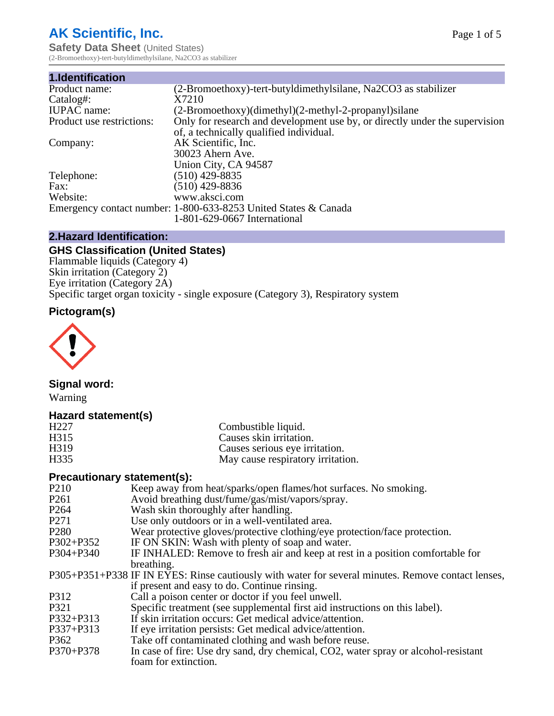# **AK Scientific, Inc.**

**Safety Data Sheet (United States)** (2-Bromoethoxy)-tert-butyldimethylsilane, Na2CO3 as stabilizer

| 1.Identification          |                                                                             |
|---------------------------|-----------------------------------------------------------------------------|
| Product name:             | (2-Bromoethoxy)-tert-butyldimethylsilane, Na2CO3 as stabilizer              |
| Catalog#:                 | X7210                                                                       |
| <b>IUPAC</b> name:        | (2-Bromoethoxy)(dimethyl)(2-methyl-2-propanyl)silane                        |
| Product use restrictions: | Only for research and development use by, or directly under the supervision |
|                           | of, a technically qualified individual.                                     |
| Company:                  | AK Scientific, Inc.                                                         |
|                           | 30023 Ahern Ave.                                                            |
|                           | Union City, CA 94587                                                        |
| Telephone:                | $(510)$ 429-8835                                                            |
| Fax:                      | (510) 429-8836                                                              |
| Website:                  | www.aksci.com                                                               |
|                           | Emergency contact number: 1-800-633-8253 United States & Canada             |
|                           | 1-801-629-0667 International                                                |

#### **2.Hazard Identification:**

# **GHS Classification (United States)**

Flammable liquids (Category 4) Skin irritation (Category 2) Eye irritation (Category 2A) Specific target organ toxicity - single exposure (Category 3), Respiratory system

# **Pictogram(s)**



# **Signal word:**

Warning

# **Hazard statement(s)**

|                   | May cause respiratory irritation. |
|-------------------|-----------------------------------|
| H <sub>335</sub>  |                                   |
| H <sub>3</sub> 19 | Causes serious eye irritation.    |
| H <sub>3</sub> 15 | Causes skin irritation.           |
| H <sub>227</sub>  | Combustible liquid.               |

# **Precautionary statement(s):**

| P <sub>210</sub> | Keep away from heat/sparks/open flames/hot surfaces. No smoking.                                   |
|------------------|----------------------------------------------------------------------------------------------------|
| P <sub>261</sub> | Avoid breathing dust/fume/gas/mist/vapors/spray.                                                   |
| P <sub>264</sub> | Wash skin thoroughly after handling.                                                               |
| P271             | Use only outdoors or in a well-ventilated area.                                                    |
| P <sub>280</sub> | Wear protective gloves/protective clothing/eye protection/face protection.                         |
| P302+P352        | IF ON SKIN: Wash with plenty of soap and water.                                                    |
| P304+P340        | IF INHALED: Remove to fresh air and keep at rest in a position comfortable for                     |
|                  | breathing.                                                                                         |
|                  | P305+P351+P338 IF IN EYES: Rinse cautiously with water for several minutes. Remove contact lenses, |
|                  | if present and easy to do. Continue rinsing.                                                       |
| P312             | Call a poison center or doctor if you feel unwell.                                                 |
| P321             | Specific treatment (see supplemental first aid instructions on this label).                        |
| P332+P313        | If skin irritation occurs: Get medical advice/attention.                                           |
| P337+P313        | If eye irritation persists: Get medical advice/attention.                                          |
| P362             | Take off contaminated clothing and wash before reuse.                                              |
| P370+P378        | In case of fire: Use dry sand, dry chemical, CO2, water spray or alcohol-resistant                 |
|                  | foam for extinction.                                                                               |
|                  |                                                                                                    |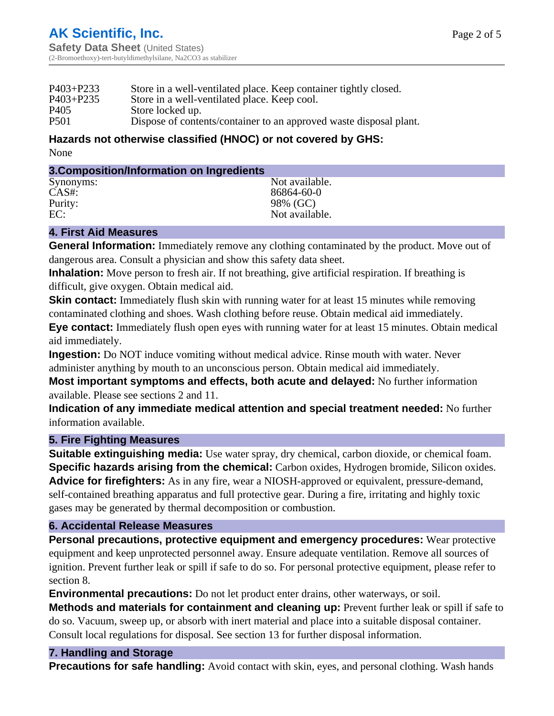| $P403 + P233$    | Store in a well-ventilated place. Keep container tightly closed.   |
|------------------|--------------------------------------------------------------------|
| P403+P235        | Store in a well-ventilated place. Keep cool.                       |
| P <sub>405</sub> | Store locked up.                                                   |
| P <sub>501</sub> | Dispose of contents/container to an approved waste disposal plant. |
|                  |                                                                    |

#### **Hazards not otherwise classified (HNOC) or not covered by GHS:** None

#### **3.Composition/Information on Ingredients**

| Synonyms: | Not available. |
|-----------|----------------|
| $CAS#$ :  | 86864-60-0     |
| Purity:   | 98% (GC)       |
| EC:       | Not available. |
|           |                |

#### **4. First Aid Measures**

**General Information:** Immediately remove any clothing contaminated by the product. Move out of dangerous area. Consult a physician and show this safety data sheet.

**Inhalation:** Move person to fresh air. If not breathing, give artificial respiration. If breathing is difficult, give oxygen. Obtain medical aid.

**Skin contact:** Immediately flush skin with running water for at least 15 minutes while removing contaminated clothing and shoes. Wash clothing before reuse. Obtain medical aid immediately.

**Eye contact:** Immediately flush open eyes with running water for at least 15 minutes. Obtain medical aid immediately.

**Ingestion:** Do NOT induce vomiting without medical advice. Rinse mouth with water. Never administer anything by mouth to an unconscious person. Obtain medical aid immediately.

**Most important symptoms and effects, both acute and delayed:** No further information available. Please see sections 2 and 11.

**Indication of any immediate medical attention and special treatment needed:** No further information available.

# **5. Fire Fighting Measures**

**Suitable extinguishing media:** Use water spray, dry chemical, carbon dioxide, or chemical foam. **Specific hazards arising from the chemical:** Carbon oxides, Hydrogen bromide, Silicon oxides. **Advice for firefighters:** As in any fire, wear a NIOSH-approved or equivalent, pressure-demand, self-contained breathing apparatus and full protective gear. During a fire, irritating and highly toxic gases may be generated by thermal decomposition or combustion.

#### **6. Accidental Release Measures**

**Personal precautions, protective equipment and emergency procedures:** Wear protective equipment and keep unprotected personnel away. Ensure adequate ventilation. Remove all sources of ignition. Prevent further leak or spill if safe to do so. For personal protective equipment, please refer to section 8.

**Environmental precautions:** Do not let product enter drains, other waterways, or soil.

**Methods and materials for containment and cleaning up:** Prevent further leak or spill if safe to do so. Vacuum, sweep up, or absorb with inert material and place into a suitable disposal container. Consult local regulations for disposal. See section 13 for further disposal information.

# **7. Handling and Storage**

**Precautions for safe handling:** Avoid contact with skin, eyes, and personal clothing. Wash hands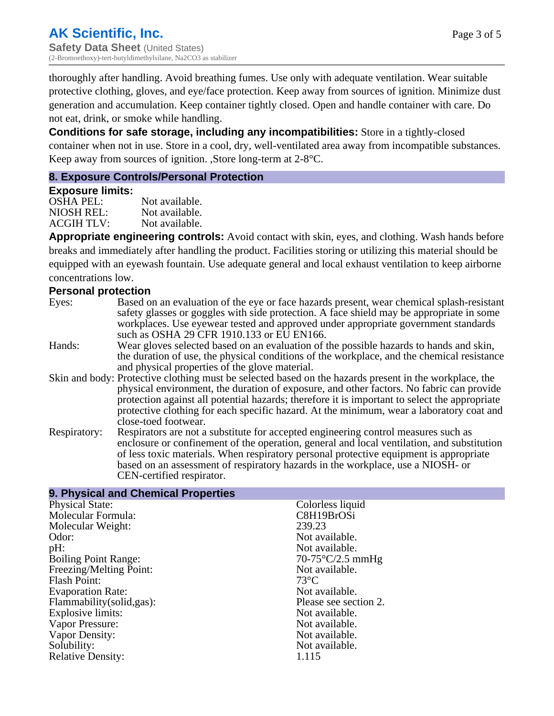thoroughly after handling. Avoid breathing fumes. Use only with adequate ventilation. Wear suitable protective clothing, gloves, and eye/face protection. Keep away from sources of ignition. Minimize dust generation and accumulation. Keep container tightly closed. Open and handle container with care. Do not eat, drink, or smoke while handling.

**Conditions for safe storage, including any incompatibilities:** Store in a tightly-closed container when not in use. Store in a cool, dry, well-ventilated area away from incompatible substances. Keep away from sources of ignition. ,Store long-term at 2-8°C.

#### **8. Exposure Controls/Personal Protection**

#### **Exposure limits:**

OSHA PEL: Not available. NIOSH REL: Not available.<br>ACGIH TLV: Not available. ACGIH TLV:

**Appropriate engineering controls:** Avoid contact with skin, eyes, and clothing. Wash hands before breaks and immediately after handling the product. Facilities storing or utilizing this material should be equipped with an eyewash fountain. Use adequate general and local exhaust ventilation to keep airborne concentrations low.

#### **Personal protection**

- Eyes: Based on an evaluation of the eye or face hazards present, wear chemical splash-resistant safety glasses or goggles with side protection. A face shield may be appropriate in some workplaces. Use eyewear tested and approved under appropriate government standards such as OSHA 29 CFR 1910.133 or EU EN166.
- Hands: Wear gloves selected based on an evaluation of the possible hazards to hands and skin, the duration of use, the physical conditions of the workplace, and the chemical resistance and physical properties of the glove material.
- Skin and body: Protective clothing must be selected based on the hazards present in the workplace, the physical environment, the duration of exposure, and other factors. No fabric can provide protection against all potential hazards; therefore it is important to select the appropriate protective clothing for each specific hazard. At the minimum, wear a laboratory coat and close-toed footwear.
- Respiratory: Respirators are not a substitute for accepted engineering control measures such as enclosure or confinement of the operation, general and local ventilation, and substitution of less toxic materials. When respiratory personal protective equipment is appropriate based on an assessment of respiratory hazards in the workplace, use a NIOSH- or CEN-certified respirator.

| 9. Physical and Chemical Properties |                           |
|-------------------------------------|---------------------------|
| <b>Physical State:</b>              | Colorless liquid          |
| Molecular Formula:                  | C8H19BrOSi                |
| Molecular Weight:                   | 239.23                    |
| Odor:                               | Not available.            |
| pH:                                 | Not available.            |
| <b>Boiling Point Range:</b>         | $70-75^{\circ}C/2.5$ mmHg |
| Freezing/Melting Point:             | Not available.            |
| <b>Flash Point:</b>                 | $73^{\circ}$ C            |
| <b>Evaporation Rate:</b>            | Not available.            |
| Flammability (solid, gas):          | Please see section 2.     |
| <b>Explosive limits:</b>            | Not available.            |
| Vapor Pressure:                     | Not available.            |
| Vapor Density:                      | Not available.            |
| Solubility:                         | Not available.            |
| <b>Relative Density:</b>            | 1.115                     |
|                                     |                           |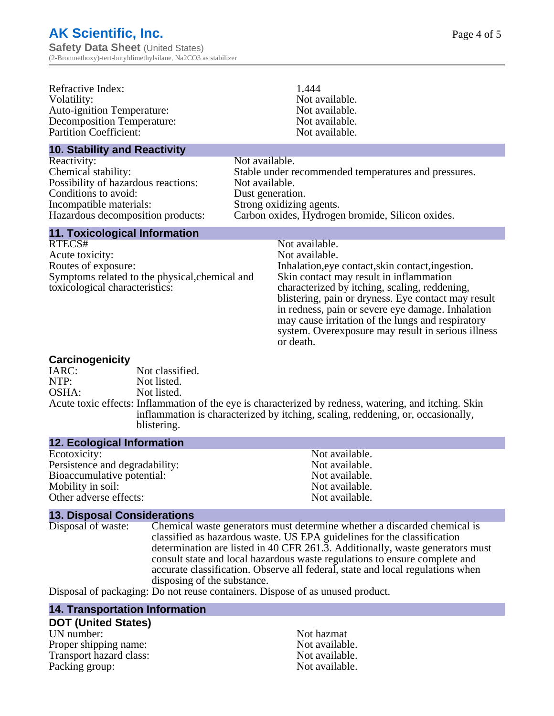**Safety Data Sheet** (United States) (2-Bromoethoxy)-tert-butyldimethylsilane, Na2CO3 as stabilizer

| Refractive Index:<br>Volatility:<br><b>Auto-ignition Temperature:</b><br><b>Decomposition Temperature:</b><br><b>Partition Coefficient:</b>                       |                                                      | 1.444<br>Not available.<br>Not available.<br>Not available.<br>Not available.                                                                                                                                                                                                                                                                                                                                         |
|-------------------------------------------------------------------------------------------------------------------------------------------------------------------|------------------------------------------------------|-----------------------------------------------------------------------------------------------------------------------------------------------------------------------------------------------------------------------------------------------------------------------------------------------------------------------------------------------------------------------------------------------------------------------|
| <b>10. Stability and Reactivity</b>                                                                                                                               |                                                      |                                                                                                                                                                                                                                                                                                                                                                                                                       |
| Reactivity:<br>Chemical stability:<br>Possibility of hazardous reactions:<br>Conditions to avoid:<br>Incompatible materials:<br>Hazardous decomposition products: | Not available.<br>Not available.<br>Dust generation. | Stable under recommended temperatures and pressures.<br>Strong oxidizing agents.<br>Carbon oxides, Hydrogen bromide, Silicon oxides.                                                                                                                                                                                                                                                                                  |
| <b>11. Toxicological Information</b>                                                                                                                              |                                                      |                                                                                                                                                                                                                                                                                                                                                                                                                       |
| RTECS#<br>Acute toxicity:<br>Routes of exposure:<br>Symptoms related to the physical, chemical and<br>toxicological characteristics:                              |                                                      | Not available.<br>Not available.<br>Inhalation, eye contact, skin contact, ingestion.<br>Skin contact may result in inflammation<br>characterized by itching, scaling, reddening,<br>blistering, pain or dryness. Eye contact may result<br>in redness, pain or severe eye damage. Inhalation<br>may cause irritation of the lungs and respiratory<br>system. Overexposure may result in serious illness<br>or death. |

#### **Carcinogenicity**

| <u>varvinvyvinvier</u> |                                                                                                                                                                                                         |
|------------------------|---------------------------------------------------------------------------------------------------------------------------------------------------------------------------------------------------------|
| IARC:                  | Not classified.                                                                                                                                                                                         |
| NTP:                   | Not listed.                                                                                                                                                                                             |
| OSHA:                  | Not listed.                                                                                                                                                                                             |
|                        | Acute toxic effects: Inflammation of the eye is characterized by redness, watering, and itching. Skin<br>inflammation is characterized by itching, scaling, reddening, or, occasionally,<br>blistering. |
|                        |                                                                                                                                                                                                         |

#### **12. Ecological Information**

| Not available. |
|----------------|
| Not available. |
| Not available. |
| Not available. |
| Not available. |
|                |

**13. Disposal Considerations** Chemical waste generators must determine whether a discarded chemical is classified as hazardous waste. US EPA guidelines for the classification determination are listed in 40 CFR 261.3. Additionally, waste generators must consult state and local hazardous waste regulations to ensure complete and accurate classification. Observe all federal, state and local regulations when disposing of the substance.

Disposal of packaging: Do not reuse containers. Dispose of as unused product.

#### **14. Transportation Information**

#### **DOT (United States)**

UN number: Not hazmat Proper shipping name:<br>
Transport hazard class:<br>
Not available.<br>
Not available. Transport hazard class:<br>
Packing group: Not available.<br>
Not available. Packing group: